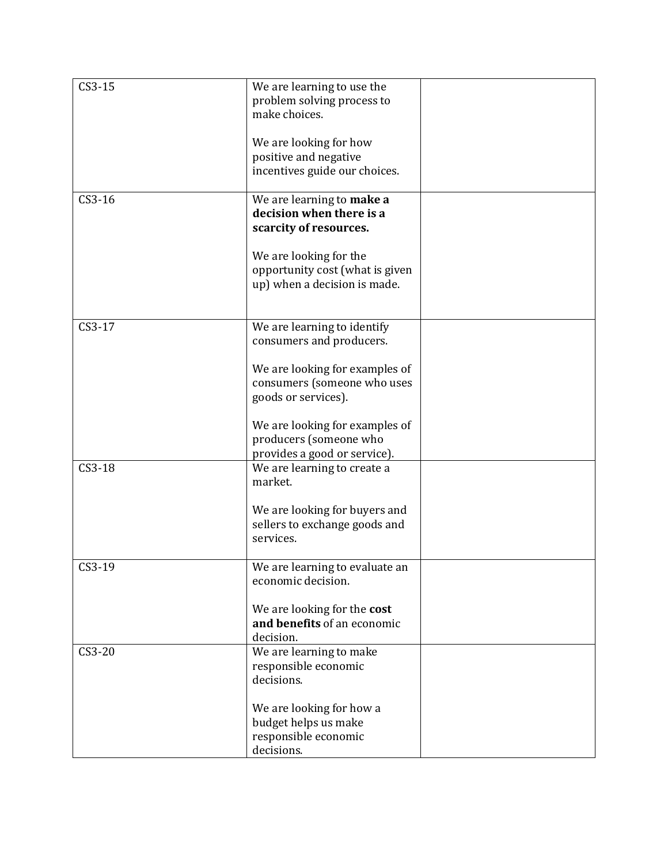| $CS3-15$ | We are learning to use the                                 |  |
|----------|------------------------------------------------------------|--|
|          | problem solving process to<br>make choices.                |  |
|          |                                                            |  |
|          | We are looking for how                                     |  |
|          | positive and negative                                      |  |
|          | incentives guide our choices.                              |  |
| $CS3-16$ | We are learning to make a                                  |  |
|          | decision when there is a                                   |  |
|          | scarcity of resources.                                     |  |
|          | We are looking for the                                     |  |
|          | opportunity cost (what is given                            |  |
|          | up) when a decision is made.                               |  |
|          |                                                            |  |
| $CS3-17$ | We are learning to identify                                |  |
|          | consumers and producers.                                   |  |
|          | We are looking for examples of                             |  |
|          | consumers (someone who uses                                |  |
|          | goods or services).                                        |  |
|          |                                                            |  |
|          | We are looking for examples of                             |  |
|          | producers (someone who<br>provides a good or service).     |  |
| $CS3-18$ | We are learning to create a                                |  |
|          | market.                                                    |  |
|          |                                                            |  |
|          | We are looking for buyers and                              |  |
|          | sellers to exchange goods and<br>services.                 |  |
|          |                                                            |  |
| CS3-19   | We are learning to evaluate an                             |  |
|          | economic decision.                                         |  |
|          | We are looking for the cost                                |  |
|          | and benefits of an economic                                |  |
|          | decision.                                                  |  |
| $CS3-20$ | We are learning to make<br>responsible economic            |  |
|          | decisions.                                                 |  |
|          |                                                            |  |
|          | We are looking for how a                                   |  |
|          |                                                            |  |
|          |                                                            |  |
|          | budget helps us make<br>responsible economic<br>decisions. |  |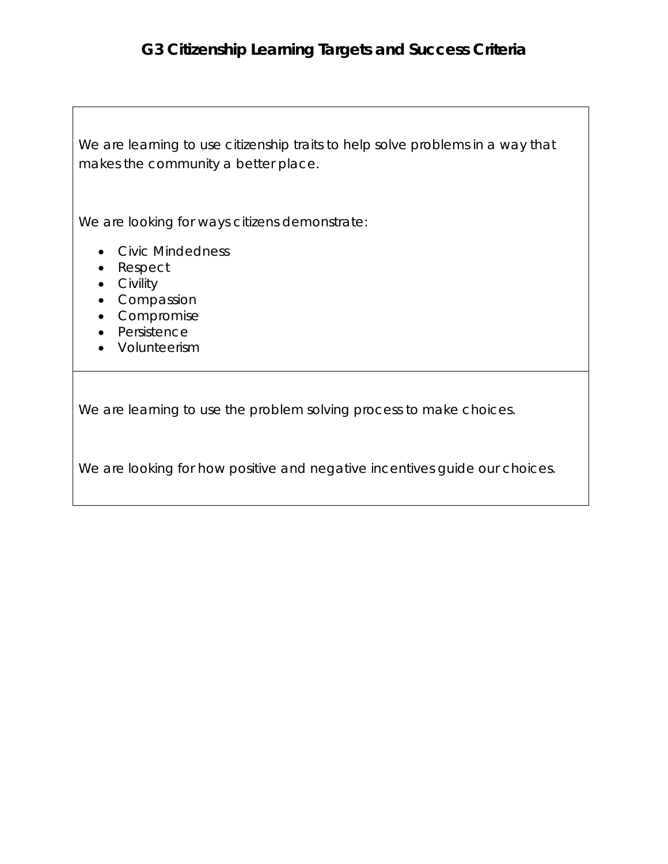## **G3 Citizenship Learning Targets and Success Criteria**

We are learning to use citizenship traits to help solve problems in a way that makes the community a better place.

We are looking for ways citizens demonstrate:

- Civic Mindedness
- Respect
- Civility
- Compassion
- Compromise
- Persistence
- Volunteerism

We are learning to use the problem solving process to make choices.

We are looking for how positive and negative incentives guide our choices.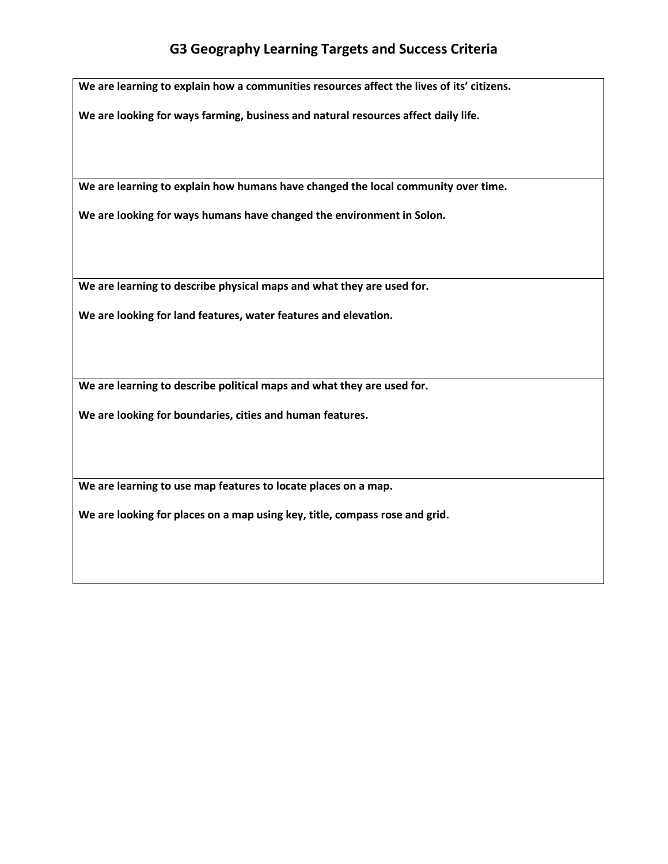## **G3 Geography Learning Targets and Success Criteria**

**We are learning to explain how a communities resources affect the lives of its' citizens.**

**We are looking for ways farming, business and natural resources affect daily life.**

**We are learning to explain how humans have changed the local community over time.**

**We are looking for ways humans have changed the environment in Solon.** 

**We are learning to describe physical maps and what they are used for.**

**We are looking for land features, water features and elevation.** 

**We are learning to describe political maps and what they are used for.**

**We are looking for boundaries, cities and human features.**

**We are learning to use map features to locate places on a map.**

**We are looking for places on a map using key, title, compass rose and grid.**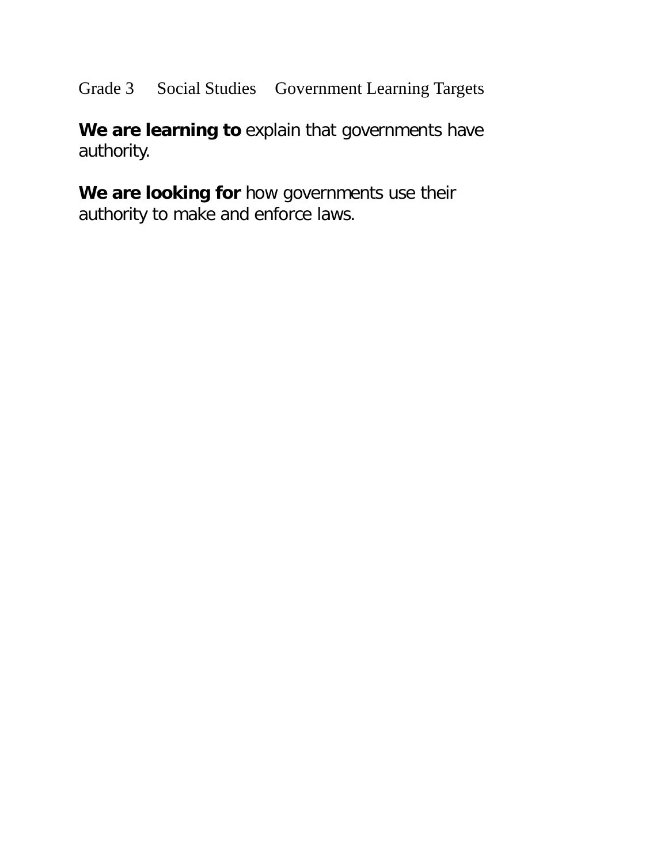Grade 3 Social Studies Government Learning Targets

We are learning to explain that governments have authority.

**We are looking for** how governments use their authority to make and enforce laws.